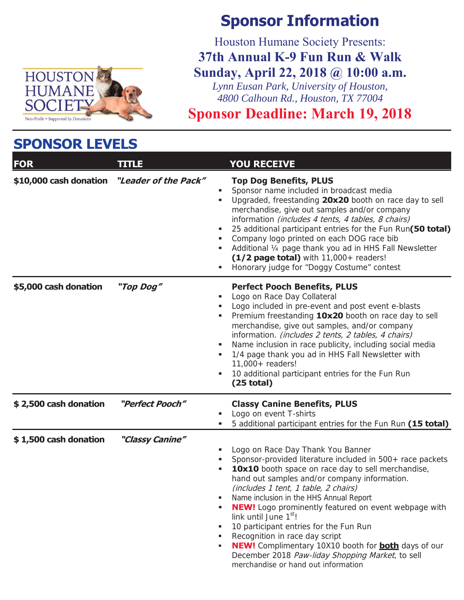

### **SPONSOR LEVELS**

# **Sponsor Information**

Houston Humane Society Presents:

**37th Annual K-9 Fun Run & Walk Sunday, April 22, 2018 @ 10:00 a.m.** 

*Lynn Eusan Park, University of Houston, 4800 Calhoun Rd., Houston, TX 77004*

**Sponsor Deadline: March 19, 2018** 

| <b>FOR</b>             | <b>TITLE</b>         | <b>YOU RECEIVE</b>                                                                                                                                                                                                                                                                                                                                                                                                                                                                                                                                                                                                                                               |
|------------------------|----------------------|------------------------------------------------------------------------------------------------------------------------------------------------------------------------------------------------------------------------------------------------------------------------------------------------------------------------------------------------------------------------------------------------------------------------------------------------------------------------------------------------------------------------------------------------------------------------------------------------------------------------------------------------------------------|
| \$10,000 cash donation | "Leader of the Pack" | <b>Top Dog Benefits, PLUS</b><br>Sponsor name included in broadcast media<br>Upgraded, freestanding 20x20 booth on race day to sell<br>merchandise, give out samples and/or company<br>information (includes 4 tents, 4 tables, 8 chairs)<br>25 additional participant entries for the Fun Run(50 total)<br>Company logo printed on each DOG race bib<br>Additional 1/4 page thank you ad in HHS Fall Newsletter<br>(1/2 page total) with 11,000+ readers!<br>Honorary judge for "Doggy Costume" contest<br>٠                                                                                                                                                    |
| \$5,000 cash donation  | "Top Dog"            | <b>Perfect Pooch Benefits, PLUS</b><br>Logo on Race Day Collateral<br>٠<br>Logo included in pre-event and post event e-blasts<br>٠<br>Premium freestanding 10x20 booth on race day to sell<br>merchandise, give out samples, and/or company<br>information. (includes 2 tents, 2 tables, 4 chairs)<br>Name inclusion in race publicity, including social media<br>٠<br>1/4 page thank you ad in HHS Fall Newsletter with<br>$11,000+$ readers!<br>10 additional participant entries for the Fun Run<br>٠<br>$(25$ total)                                                                                                                                         |
| \$2,500 cash donation  | "Perfect Pooch"      | <b>Classy Canine Benefits, PLUS</b><br>Logo on event T-shirts<br>5 additional participant entries for the Fun Run (15 total)                                                                                                                                                                                                                                                                                                                                                                                                                                                                                                                                     |
| \$1,500 cash donation  | "Classy Canine"      | Logo on Race Day Thank You Banner<br>Sponsor-provided literature included in 500+ race packets<br>٠<br>10x10 booth space on race day to sell merchandise,<br>٠<br>hand out samples and/or company information.<br>(includes 1 tent, 1 table, 2 chairs)<br>Name inclusion in the HHS Annual Report<br><b>NEW!</b> Logo prominently featured on event webpage with<br>٠<br>link until June 1 <sup>st</sup> !<br>10 participant entries for the Fun Run<br>٠<br>Recognition in race day script<br><b>NEW!</b> Complimentary 10X10 booth for <b>both</b> days of our<br>٠<br>December 2018 Paw-liday Shopping Market, to sell<br>merchandise or hand out information |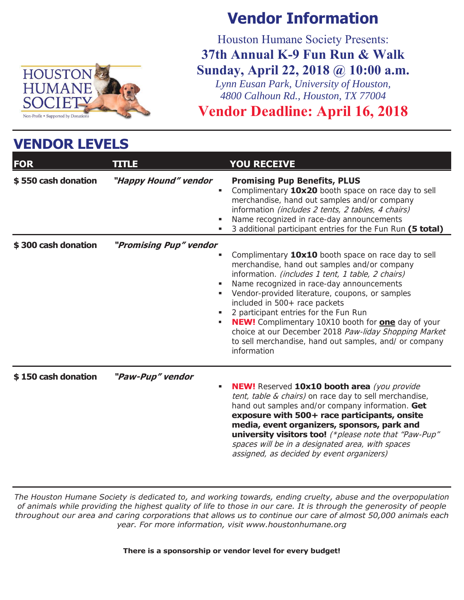

**VENDOR LEVELS** 

## **Vendor Information**

Houston Humane Society Presents: **37th Annual K-9 Fun Run & Walk Sunday, April 22, 2018 @ 10:00 a.m.** 

*Lynn Eusan Park, University of Houston, 4800 Calhoun Rd., Houston, TX 77004*

## **Vendor Deadline: April 16, 2018**

| VENDUR LEVELS       |                                  |                                                                                                                                                                                                                                                                                                                                                                                                                                                                                                                                          |  |  |  |
|---------------------|----------------------------------|------------------------------------------------------------------------------------------------------------------------------------------------------------------------------------------------------------------------------------------------------------------------------------------------------------------------------------------------------------------------------------------------------------------------------------------------------------------------------------------------------------------------------------------|--|--|--|
| <b>FOR</b>          | <b>TITLE</b>                     | <b>YOU RECEIVE</b>                                                                                                                                                                                                                                                                                                                                                                                                                                                                                                                       |  |  |  |
| \$550 cash donation | "Happy Hound" vendor<br>٠        | <b>Promising Pup Benefits, PLUS</b><br>Complimentary 10x20 booth space on race day to sell<br>٠<br>merchandise, hand out samples and/or company<br>information (includes 2 tents, 2 tables, 4 chairs)<br>Name recognized in race-day announcements<br>3 additional participant entries for the Fun Run (5 total)                                                                                                                                                                                                                         |  |  |  |
| \$300 cash donation | "Promising Pup" vendor<br>٠<br>٠ | Complimentary 10x10 booth space on race day to sell<br>merchandise, hand out samples and/or company<br>information. (includes 1 tent, 1 table, 2 chairs)<br>Name recognized in race-day announcements<br>Vendor-provided literature, coupons, or samples<br>included in 500+ race packets<br>2 participant entries for the Fun Run<br><b>NEW!</b> Complimentary 10X10 booth for <b>one</b> day of your<br>choice at our December 2018 Paw-liday Shopping Market<br>to sell merchandise, hand out samples, and/ or company<br>information |  |  |  |
| \$150 cash donation | "Paw-Pup" vendor<br>٠            | <b>NEW!</b> Reserved 10x10 booth area (you provide<br>tent, table & chairs) on race day to sell merchandise,<br>hand out samples and/or company information. Get<br>exposure with 500+ race participants, onsite<br>media, event organizers, sponsors, park and<br>university visitors too! (*please note that "Paw-Pup"<br>spaces will be in a designated area, with spaces<br>assigned, as decided by event organizers)                                                                                                                |  |  |  |

*The Houston Humane Society is dedicated to, and working towards, ending cruelty, abuse and the overpopulation of animals while providing the highest quality of life to those in our care. It is through the generosity of people throughout our area and caring corporations that allows us to continue our care of almost 50,000 animals each year. For more information, visit www.houstonhumane.org* 

**There is a sponsorship or vendor level for every budget!**